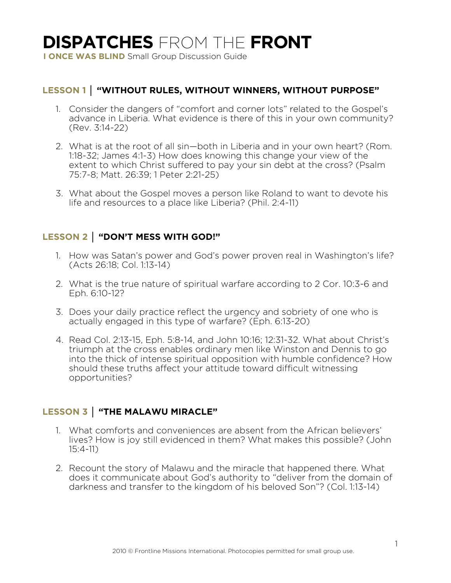# **DISPATCHES** FROM THE **FRONT**

**I ONCE WAS BLIND** Small Group Discussion Guide

#### **LESSON 1 │ "WITHOUT RULES, WITHOUT WINNERS, WITHOUT PURPOSE"**

- 1. Consider the dangers of "comfort and corner lots" related to the Gospel's advance in Liberia. What evidence is there of this in your own community? (Rev. 3:14-22)
- 2. What is at the root of all sin—both in Liberia and in your own heart? (Rom. 1:18-32; James 4:1-3) How does knowing this change your view of the extent to which Christ suffered to pay your sin debt at the cross? (Psalm 75:7-8; Matt. 26:39; 1 Peter 2:21-25)
- 3. What about the Gospel moves a person like Roland to want to devote his life and resources to a place like Liberia? (Phil. 2:4-11)

### **LESSON 2 │ "DON'T MESS WITH GOD!"**

- 1. How was Satan's power and God's power proven real in Washington's life? (Acts 26:18; Col. 1:13-14)
- 2. What is the true nature of spiritual warfare according to 2 Cor. 10:3-6 and Eph. 6:10-12?
- 3. Does your daily practice reflect the urgency and sobriety of one who is actually engaged in this type of warfare? (Eph. 6:13-20)
- 4. Read Col. 2:13-15, Eph. 5:8-14, and John 10:16; 12:31-32. What about Christ's triumph at the cross enables ordinary men like Winston and Dennis to go into the thick of intense spiritual opposition with humble confidence? How should these truths affect your attitude toward difficult witnessing opportunities?

## **LESSON 3 │ "THE MALAWU MIRACLE"**

- 1. What comforts and conveniences are absent from the African believers' lives? How is joy still evidenced in them? What makes this possible? (John 15:4-11)
- 2. Recount the story of Malawu and the miracle that happened there. What does it communicate about God's authority to "deliver from the domain of darkness and transfer to the kingdom of his beloved Son"? (Col. 1:13-14)